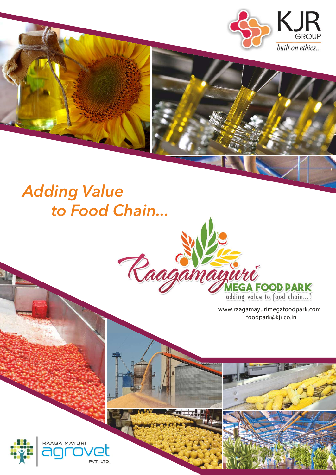

# to Food Chain...



www.raagamayurimegafoodpark.com foodpark@kjr.co.in

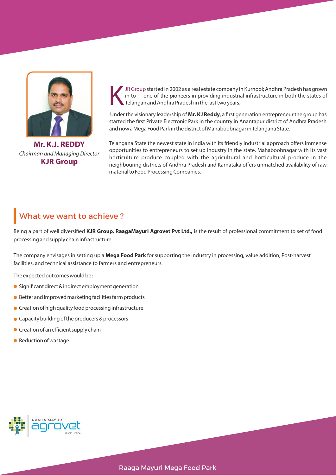

**Mr. K.J. REDDY KJR Group** Chairman and Managing Director

JR Group started in 2002 as a real estate company in Kurnool; Andhra Pradesh has grown<br>in to one of the pioneers in providing industrial infrastructure in both the states of<br>Telangan and Andhra Pradesh in the last two year

Under the visionary leadership of Mr. KJ Reddy, a first generation entrepreneur the group has started the first Private Electronic Park in the country in Anantapur district of Andhra Pradesh and now a Mega Food Park in the district of Mahaboobnagar in Telangana State.

Telangana State the newest state in India with its friendly industrial approach offers immense opportunities to entrepreneurs to set up industry in the state. Mahaboobnagar with its vast horticulture produce coupled with the agricultural and horticultural produce in the neighbouring districts of Andhra Pradesh and Karnataka offers unmatched availability of raw material to Food Processing Companies.

## What we want to achieve ?

Being a part of well diversified KJR Group, RaagaMayuri Agrovet Pvt Ltd., is the result of professional commitment to set of food processing and supply chain infrastructure.

The company envisages in setting up a **Mega Food Park** for supporting the industry in processing, value addition, Post-harvest facilities, and technical assistance to farmers and entrepreneurs.

The expected outcomes would be :

- Significant direct & indirect employment generation
- Better and improved marketing facilities farm products
- **•** Creation of high quality food processing infrastructure
- Capacity building of the producers & processors
- **Creation of an efficient supply chain**
- Reduction of wastage

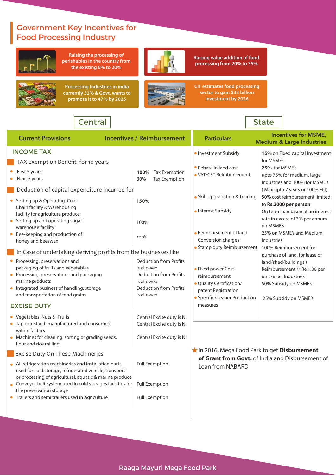## Government Key Incentives for Food Processing Industry

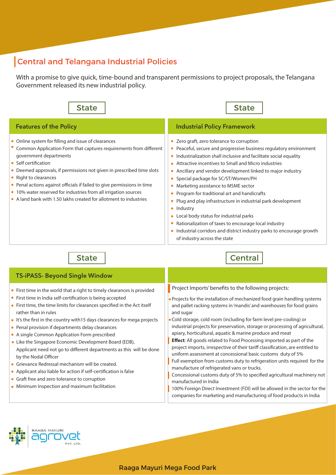## Central and Telangana Industrial Policies

With a promise to give quick, time-bound and transparent permissions to project proposals, the Telangana Government released its new industrial policy.

| <b>State</b>                                                                                                                                                                                                                                                                                                                                                                                                                                                                                                                                                                                                                                                                                                                                                                                                     | <b>State</b>                                                                                                                                                                                                                                                                                                                                                                                                                                                                                                                                                                                                                                                                                                                                                                                                                                                                                                                                                                                                                                                  |  |
|------------------------------------------------------------------------------------------------------------------------------------------------------------------------------------------------------------------------------------------------------------------------------------------------------------------------------------------------------------------------------------------------------------------------------------------------------------------------------------------------------------------------------------------------------------------------------------------------------------------------------------------------------------------------------------------------------------------------------------------------------------------------------------------------------------------|---------------------------------------------------------------------------------------------------------------------------------------------------------------------------------------------------------------------------------------------------------------------------------------------------------------------------------------------------------------------------------------------------------------------------------------------------------------------------------------------------------------------------------------------------------------------------------------------------------------------------------------------------------------------------------------------------------------------------------------------------------------------------------------------------------------------------------------------------------------------------------------------------------------------------------------------------------------------------------------------------------------------------------------------------------------|--|
| <b>Features of the Policy</b>                                                                                                                                                                                                                                                                                                                                                                                                                                                                                                                                                                                                                                                                                                                                                                                    | <b>Industrial Policy Framework</b>                                                                                                                                                                                                                                                                                                                                                                                                                                                                                                                                                                                                                                                                                                                                                                                                                                                                                                                                                                                                                            |  |
| • Online system for filling and issue of clearances<br>Common Application Form that captures requirements from different<br>government departments<br>• Self certification<br>• Deemed approvals, if permissions not given in prescribed time slots<br>• Right to clearances<br>• Penal actions against officials if failed to give permissions in time<br>• 10% water reserved for industries from all irrigation sources<br>• A land bank with 1.50 lakhs created for allotment to industries                                                                                                                                                                                                                                                                                                                  | • Zero graft, zero tolerance to corruption<br>• Peaceful, secure and progressive business regulatory environment<br>• Industrialization shall inclusive and facilitate social equality<br>• Attractive incentives to Small and Micro industries<br>• Ancillary and vendor development linked to major industry<br>• Special package for SC/ST/Women/PH<br>• Marketing assistance to MSME sector<br>• Program for traditional art and handicrafts<br>• Plug and play infrastructure in industrial park development<br>· Industry<br>• Local body status for industrial parks<br>• Rationalization of taxes to encourage local industry<br>• Industrial corridors and district industry parks to encourage growth<br>of industry across the state                                                                                                                                                                                                                                                                                                               |  |
| <b>State</b>                                                                                                                                                                                                                                                                                                                                                                                                                                                                                                                                                                                                                                                                                                                                                                                                     | <b>Central</b>                                                                                                                                                                                                                                                                                                                                                                                                                                                                                                                                                                                                                                                                                                                                                                                                                                                                                                                                                                                                                                                |  |
| <b>TS-iPASS- Beyond Single Window</b>                                                                                                                                                                                                                                                                                                                                                                                                                                                                                                                                                                                                                                                                                                                                                                            |                                                                                                                                                                                                                                                                                                                                                                                                                                                                                                                                                                                                                                                                                                                                                                                                                                                                                                                                                                                                                                                               |  |
| • First time in the world that a right to timely clearances is provided<br>• First time in India self-certification is being accepted<br>• First time, the time limits for clearances specified in the Act itself<br>rather than in rules<br>. It's the first in the country with 15 days clearances for mega projects<br>• Penal provision if departments delay clearances<br>• A single Common Application Form prescribed<br>• Like the Singapore Economic Development Board (EDB),<br>Applicant need not go to different departments as this will be done<br>by the Nodal Officer<br>· Grievance Redressal mechanism will be created.<br>• Applicant also liable for action if self-certification is false<br>• Graft free and zero tolerance to corruption<br>• Minimum Inspection and maximum facilitation | Project Imports' benefits to the following projects:<br>. Projects for the installation of mechanized food grain handling systems<br>and pallet racking systems in 'mandis' and warehouses for food grains<br>and sugar<br>· Cold storage, cold room (including for farm level pre-cooling) or<br>industrial projects for preservation, storage or processing of agricultural,<br>apiary, horticultural, aquatic & marine produce and meat<br><b>Effect:</b> All goods related to Food Processing imported as part of the<br>project imports, irrespective of their tariff classification, are entitled to<br>uniform assessment at concessional basic customs duty of 5%<br>Full exemption from customs duty to refrigeration units required for the<br>manufacture of refrigerated vans or trucks.<br>Concessional customs duty of 5% to specified agricultural machinery not<br>manufactured in India<br>100% Foreign Direct Investment (FDI) will be allowed in the sector for the<br>companies for marketing and manufacturing of food products in India |  |

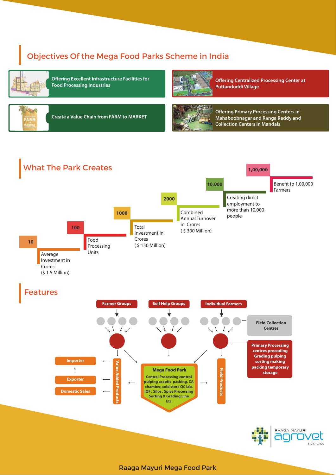## Objectives Of the Mega Food Parks Scheme in India



**Offering Excellent Infrastructure Facilities for Food Processing Industries**



**Offering Centralized Processing Center at Puttandoddi Village**



**Create a Value Chain from FARM to MARKET**



**Offering Primary Processing Centers in Mahaboobnagar and Ranga Reddy and Collection Centers in Mandals**

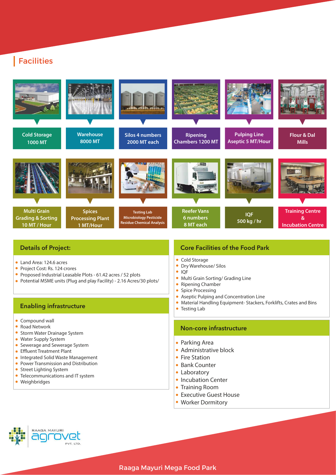## Facilities



#### Details of Project:

- Land Area: 124.6 acres
- $\bullet$ Project Cost: Rs. 124 crores
- Proposed Industrial Leasable Plots 61.42 acres / 52 plots
- Potential MSME units (Plug and play Facility) 2.16 Acres/30 plots/

## **Enabling infrastructure Testing Lab Enabling infrastructure Testing Lab Enabling infrastructure**

- Compound wall
- $\bullet$ Road Network
- $\bullet$ Storm Water Drainage System
- Water Supply System
- **Sewerage and Sewerage System**
- Effluent Treatment Plant
- **.** Integrated Solid Waste Management
- **Power Transmission and Distribution**
- Street Lighting System
- Telecommunications and IT system
- Weighbridges

#### Core Facilities of the Food Park

- Cold Storage
- $\bullet$ Dry Warehouse/ Silos
- $\bullet$ IQF
- Multi Grain Sorting/ Grading Line
- $\bullet$ Ripening Chamber
- $\bullet$ Spice Processing
- Aseptic Pulping and Concentration Line  $\bullet$
- Material Handling Equipment- Stackers, Forklifts, Crates and Bins
- 

#### Non-core infrastructure

- Parking Area
- Administrative block
- Fire Station
- Bank Counter
- Laboratory
- Incubation Center
- Training Room
- Executive Guest House
- Worker Dormitory

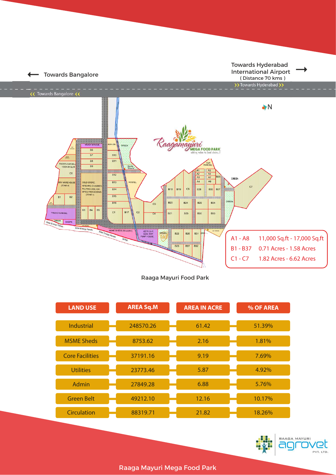

Raaga Mayuri Food Park

| <b>LAND USE</b>        | <b>AREA Sq.M</b> | <b>AREA IN ACRE</b> | % OF AREA |
|------------------------|------------------|---------------------|-----------|
| <b>Industrial</b>      | 248570.26        | 61.42               | 51.39%    |
| <b>MSME Sheds</b>      | 8753.62          | 2.16                | 1.81%     |
| <b>Core Facilities</b> | 37191.16         | 9.19                | 7.69%     |
| <b>Utilities</b>       | 23773.46         | 5.87                | 4.92%     |
| Admin                  | 27849.28         | 6.88                | 5.76%     |
| <b>Green Belt</b>      | 49212.10         | 12.16               | 10.17%    |
| <b>Circulation</b>     | 88319.71         | 21.82               | 18.26%    |



Raaga Mayuri Mega Food Park